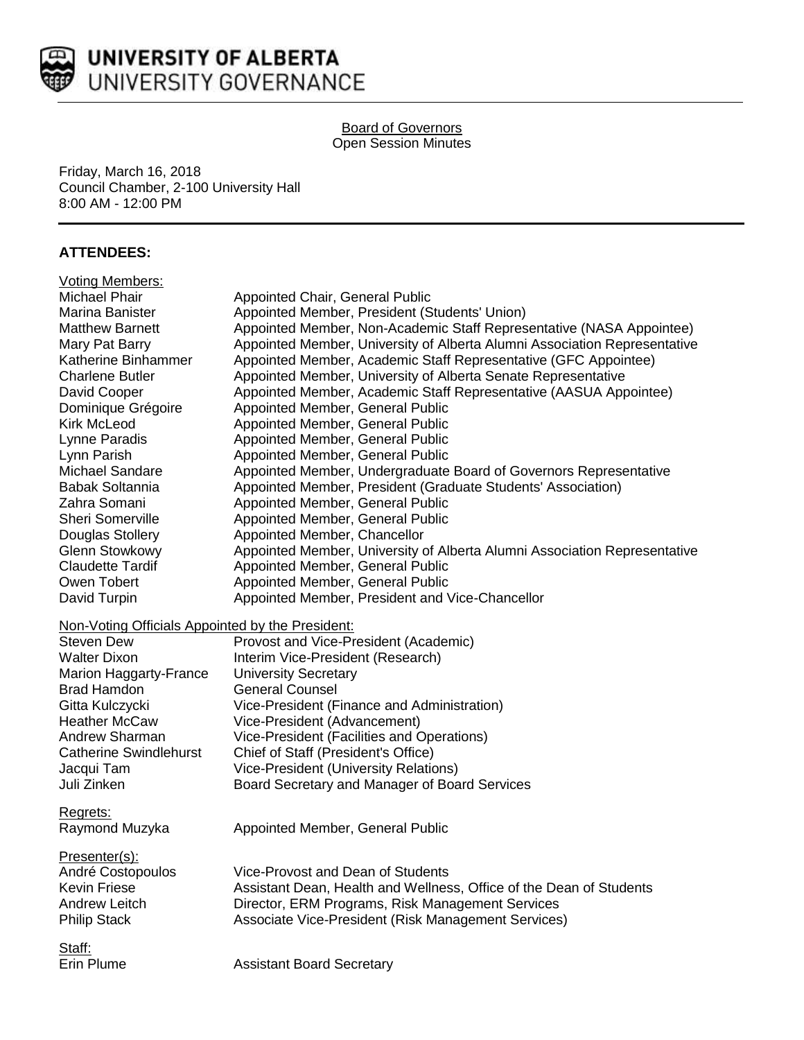

#### Board of Governors Open Session Minutes

Friday, March 16, 2018 Council Chamber, 2-100 University Hall 8:00 AM - 12:00 PM

# **ATTENDEES:**

| <b>Voting Members:</b>                           |                                                                           |
|--------------------------------------------------|---------------------------------------------------------------------------|
| Michael Phair                                    | <b>Appointed Chair, General Public</b>                                    |
| Marina Banister                                  | Appointed Member, President (Students' Union)                             |
| <b>Matthew Barnett</b>                           | Appointed Member, Non-Academic Staff Representative (NASA Appointee)      |
| Mary Pat Barry                                   | Appointed Member, University of Alberta Alumni Association Representative |
| Katherine Binhammer                              | Appointed Member, Academic Staff Representative (GFC Appointee)           |
| <b>Charlene Butler</b>                           | Appointed Member, University of Alberta Senate Representative             |
| David Cooper                                     | Appointed Member, Academic Staff Representative (AASUA Appointee)         |
| Dominique Grégoire                               | Appointed Member, General Public                                          |
| <b>Kirk McLeod</b>                               | Appointed Member, General Public                                          |
| Lynne Paradis                                    | Appointed Member, General Public                                          |
| Lynn Parish                                      | Appointed Member, General Public                                          |
| Michael Sandare                                  | Appointed Member, Undergraduate Board of Governors Representative         |
| <b>Babak Soltannia</b>                           | Appointed Member, President (Graduate Students' Association)              |
| Zahra Somani                                     | Appointed Member, General Public                                          |
| Sheri Somerville                                 | Appointed Member, General Public                                          |
| Douglas Stollery                                 | Appointed Member, Chancellor                                              |
| <b>Glenn Stowkowy</b>                            | Appointed Member, University of Alberta Alumni Association Representative |
| <b>Claudette Tardif</b>                          | Appointed Member, General Public                                          |
| Owen Tobert                                      | Appointed Member, General Public                                          |
| David Turpin                                     | Appointed Member, President and Vice-Chancellor                           |
| Non-Voting Officials Appointed by the President: |                                                                           |
| <b>Steven Dew</b>                                | Provost and Vice-President (Academic)                                     |
| <b>Walter Dixon</b>                              | Interim Vice-President (Research)                                         |
| <b>Marion Haggarty-France</b>                    | <b>University Secretary</b>                                               |
| <b>Brad Hamdon</b>                               | <b>General Counsel</b>                                                    |
| Gitta Kulczycki                                  | Vice-President (Finance and Administration)                               |
| <b>Heather McCaw</b>                             | Vice-President (Advancement)                                              |
| Andrew Sharman                                   | Vice-President (Facilities and Operations)                                |
| <b>Catherine Swindlehurst</b>                    | Chief of Staff (President's Office)                                       |
| Jacqui Tam                                       | <b>Vice-President (University Relations)</b>                              |
| Juli Zinken                                      | Board Secretary and Manager of Board Services                             |
| Regrets:                                         |                                                                           |
| Raymond Muzyka                                   | Appointed Member, General Public                                          |
| Presenter(s):                                    |                                                                           |
| André Costopoulos                                | Vice-Provost and Dean of Students                                         |
| <b>Kevin Friese</b>                              | Assistant Dean, Health and Wellness, Office of the Dean of Students       |
| Andrew Leitch                                    | Director, ERM Programs, Risk Management Services                          |
| <b>Philip Stack</b>                              | Associate Vice-President (Risk Management Services)                       |
| Staff:                                           |                                                                           |
| Erin Plume                                       | <b>Assistant Board Secretary</b>                                          |
|                                                  |                                                                           |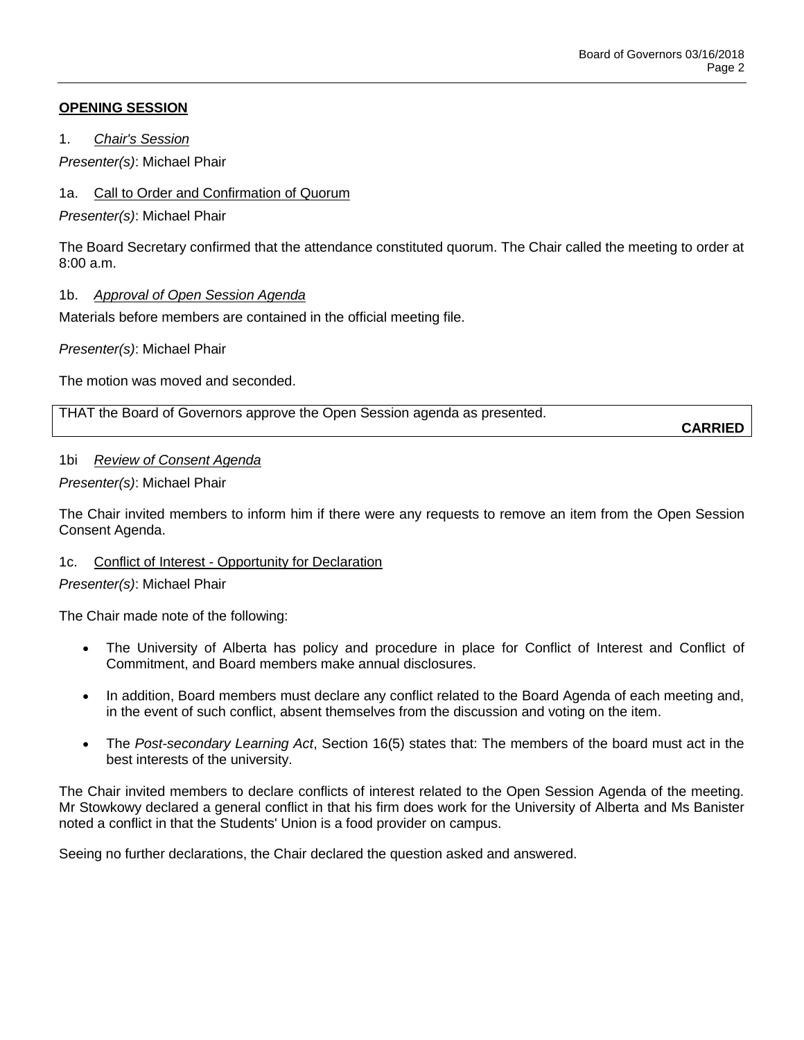## **OPENING SESSION**

1. *Chair's Session*

*Presenter(s)*: Michael Phair

# 1a. Call to Order and Confirmation of Quorum

*Presenter(s)*: Michael Phair

The Board Secretary confirmed that the attendance constituted quorum. The Chair called the meeting to order at  $8:00a \, m$ 

## 1b. *Approval of Open Session Agenda*

Materials before members are contained in the official meeting file.

*Presenter(s)*: Michael Phair

The motion was moved and seconded.

THAT the Board of Governors approve the Open Session agenda as presented.

**CARRIED**

#### 1bi *Review of Consent Agenda*

## *Presenter(s)*: Michael Phair

The Chair invited members to inform him if there were any requests to remove an item from the Open Session Consent Agenda.

#### 1c. Conflict of Interest - Opportunity for Declaration

#### *Presenter(s)*: Michael Phair

The Chair made note of the following:

- The University of Alberta has policy and procedure in place for Conflict of Interest and Conflict of Commitment, and Board members make annual disclosures.
- In addition, Board members must declare any conflict related to the Board Agenda of each meeting and, in the event of such conflict, absent themselves from the discussion and voting on the item.
- The *Post-secondary Learning Act*, Section 16(5) states that: The members of the board must act in the best interests of the university.

The Chair invited members to declare conflicts of interest related to the Open Session Agenda of the meeting. Mr Stowkowy declared a general conflict in that his firm does work for the University of Alberta and Ms Banister noted a conflict in that the Students' Union is a food provider on campus.

Seeing no further declarations, the Chair declared the question asked and answered.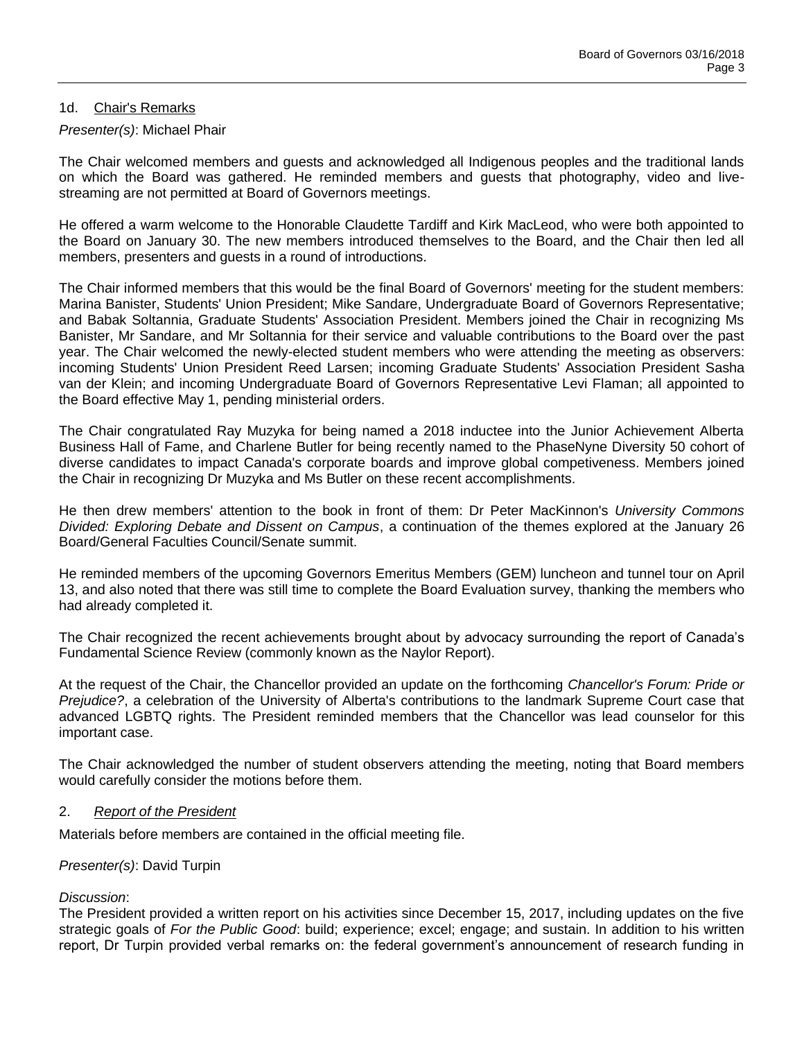#### 1d. Chair's Remarks

#### *Presenter(s)*: Michael Phair

The Chair welcomed members and guests and acknowledged all Indigenous peoples and the traditional lands on which the Board was gathered. He reminded members and guests that photography, video and livestreaming are not permitted at Board of Governors meetings.

He offered a warm welcome to the Honorable Claudette Tardiff and Kirk MacLeod, who were both appointed to the Board on January 30. The new members introduced themselves to the Board, and the Chair then led all members, presenters and guests in a round of introductions.

The Chair informed members that this would be the final Board of Governors' meeting for the student members: Marina Banister, Students' Union President; Mike Sandare, Undergraduate Board of Governors Representative; and Babak Soltannia, Graduate Students' Association President. Members joined the Chair in recognizing Ms Banister, Mr Sandare, and Mr Soltannia for their service and valuable contributions to the Board over the past year. The Chair welcomed the newly-elected student members who were attending the meeting as observers: incoming Students' Union President Reed Larsen; incoming Graduate Students' Association President Sasha van der Klein; and incoming Undergraduate Board of Governors Representative Levi Flaman; all appointed to the Board effective May 1, pending ministerial orders.

The Chair congratulated Ray Muzyka for being named a 2018 inductee into the Junior Achievement Alberta Business Hall of Fame, and Charlene Butler for being recently named to the PhaseNyne Diversity 50 cohort of diverse candidates to impact Canada's corporate boards and improve global competiveness. Members joined the Chair in recognizing Dr Muzyka and Ms Butler on these recent accomplishments.

He then drew members' attention to the book in front of them: Dr Peter MacKinnon's *University Commons Divided: Exploring Debate and Dissent on Campus*, a continuation of the themes explored at the January 26 Board/General Faculties Council/Senate summit.

He reminded members of the upcoming Governors Emeritus Members (GEM) luncheon and tunnel tour on April 13, and also noted that there was still time to complete the Board Evaluation survey, thanking the members who had already completed it.

The Chair recognized the recent achievements brought about by advocacy surrounding the report of Canada's Fundamental Science Review (commonly known as the Naylor Report).

At the request of the Chair, the Chancellor provided an update on the forthcoming *Chancellor's Forum: Pride or Prejudice?*, a celebration of the University of Alberta's contributions to the landmark Supreme Court case that advanced LGBTQ rights. The President reminded members that the Chancellor was lead counselor for this important case.

The Chair acknowledged the number of student observers attending the meeting, noting that Board members would carefully consider the motions before them.

#### 2. *Report of the President*

Materials before members are contained in the official meeting file.

#### *Presenter(s)*: David Turpin

#### *Discussion*:

The President provided a written report on his activities since December 15, 2017, including updates on the five strategic goals of *For the Public Good*: build; experience; excel; engage; and sustain. In addition to his written report, Dr Turpin provided verbal remarks on: the federal government's announcement of research funding in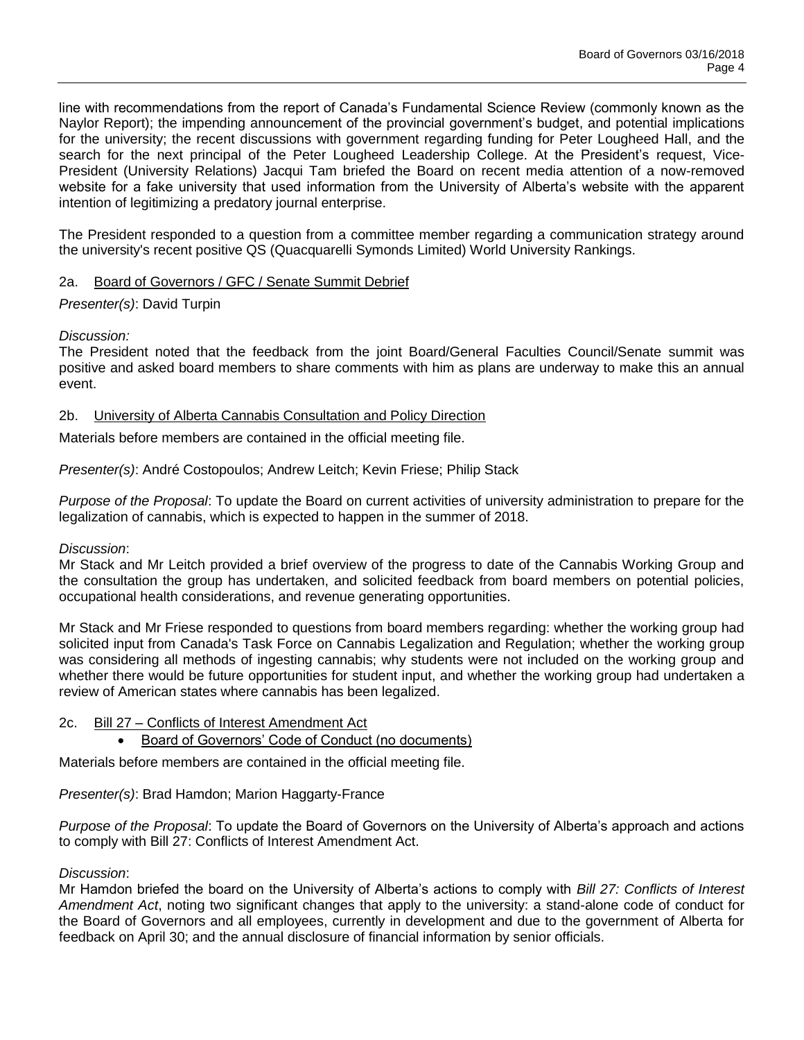line with recommendations from the report of Canada's Fundamental Science Review (commonly known as the Naylor Report); the impending announcement of the provincial government's budget, and potential implications for the university; the recent discussions with government regarding funding for Peter Lougheed Hall, and the search for the next principal of the Peter Lougheed Leadership College. At the President's request, Vice-President (University Relations) Jacqui Tam briefed the Board on recent media attention of a now-removed website for a fake university that used information from the University of Alberta's website with the apparent intention of legitimizing a predatory journal enterprise.

The President responded to a question from a committee member regarding a communication strategy around the university's recent positive QS (Quacquarelli Symonds Limited) World University Rankings.

# 2a. Board of Governors / GFC / Senate Summit Debrief

## *Presenter(s)*: David Turpin

#### *Discussion:*

The President noted that the feedback from the joint Board/General Faculties Council/Senate summit was positive and asked board members to share comments with him as plans are underway to make this an annual event.

## 2b. University of Alberta Cannabis Consultation and Policy Direction

Materials before members are contained in the official meeting file.

*Presenter(s)*: André Costopoulos; Andrew Leitch; Kevin Friese; Philip Stack

*Purpose of the Proposal*: To update the Board on current activities of university administration to prepare for the legalization of cannabis, which is expected to happen in the summer of 2018.

#### *Discussion*:

Mr Stack and Mr Leitch provided a brief overview of the progress to date of the Cannabis Working Group and the consultation the group has undertaken, and solicited feedback from board members on potential policies, occupational health considerations, and revenue generating opportunities.

Mr Stack and Mr Friese responded to questions from board members regarding: whether the working group had solicited input from Canada's Task Force on Cannabis Legalization and Regulation; whether the working group was considering all methods of ingesting cannabis; why students were not included on the working group and whether there would be future opportunities for student input, and whether the working group had undertaken a review of American states where cannabis has been legalized.

#### 2c. Bill 27 – Conflicts of Interest Amendment Act

Board of Governors' Code of Conduct (no documents)

Materials before members are contained in the official meeting file.

#### *Presenter(s)*: Brad Hamdon; Marion Haggarty-France

*Purpose of the Proposal*: To update the Board of Governors on the University of Alberta's approach and actions to comply with Bill 27: Conflicts of Interest Amendment Act.

#### *Discussion*:

Mr Hamdon briefed the board on the University of Alberta's actions to comply with *Bill 27: Conflicts of Interest Amendment Act*, noting two significant changes that apply to the university: a stand-alone code of conduct for the Board of Governors and all employees, currently in development and due to the government of Alberta for feedback on April 30; and the annual disclosure of financial information by senior officials.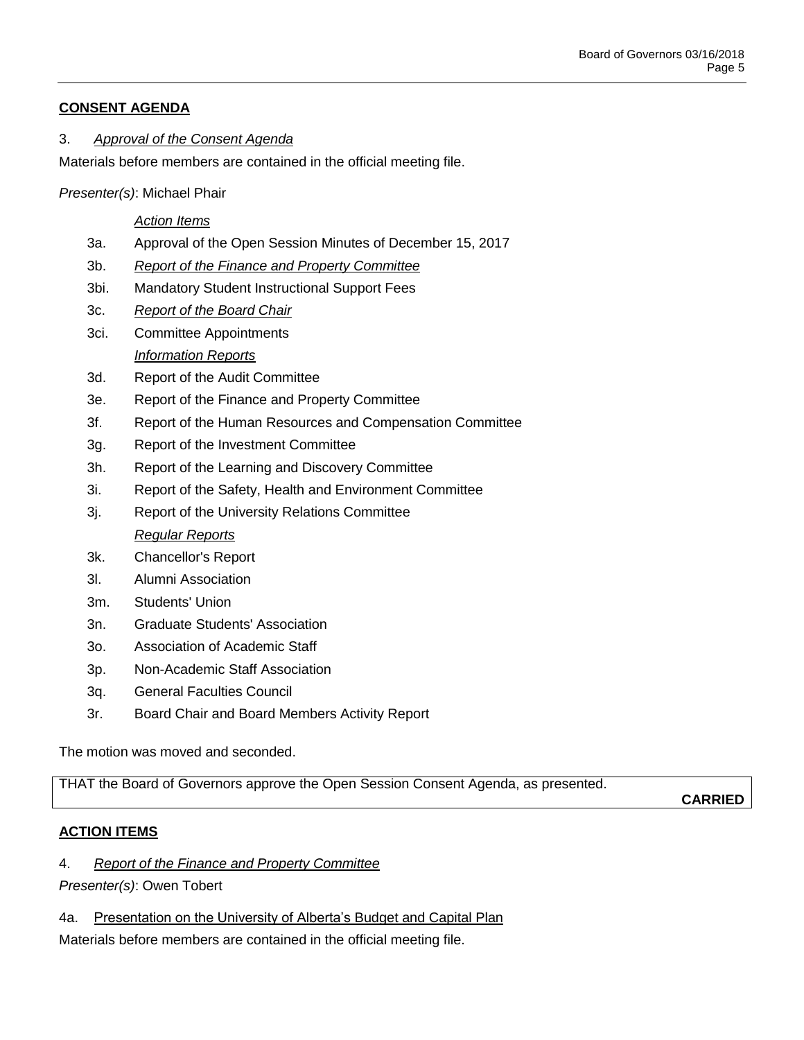# **CONSENT AGENDA**

# 3. *Approval of the Consent Agenda*

Materials before members are contained in the official meeting file.

*Presenter(s)*: Michael Phair

## *Action Items*

- 3a. Approval of the Open Session Minutes of December 15, 2017
- 3b. *Report of the Finance and Property Committee*
- 3bi. Mandatory Student Instructional Support Fees
- 3c. *Report of the Board Chair*
- 3ci. Committee Appointments *Information Reports*
- 3d. Report of the Audit Committee
- 3e. Report of the Finance and Property Committee
- 3f. Report of the Human Resources and Compensation Committee
- 3g. Report of the Investment Committee
- 3h. Report of the Learning and Discovery Committee
- 3i. Report of the Safety, Health and Environment Committee
- 3j. Report of the University Relations Committee *Regular Reports*
- 3k. Chancellor's Report
- 3l. Alumni Association
- 3m. Students' Union
- 3n. Graduate Students' Association
- 3o. Association of Academic Staff
- 3p. Non-Academic Staff Association
- 3q. General Faculties Council
- 3r. Board Chair and Board Members Activity Report

The motion was moved and seconded.

THAT the Board of Governors approve the Open Session Consent Agenda, as presented.

**CARRIED**

# **ACTION ITEMS**

4. *Report of the Finance and Property Committee*

*Presenter(s)*: Owen Tobert

4a. Presentation on the University of Alberta's Budget and Capital Plan

Materials before members are contained in the official meeting file.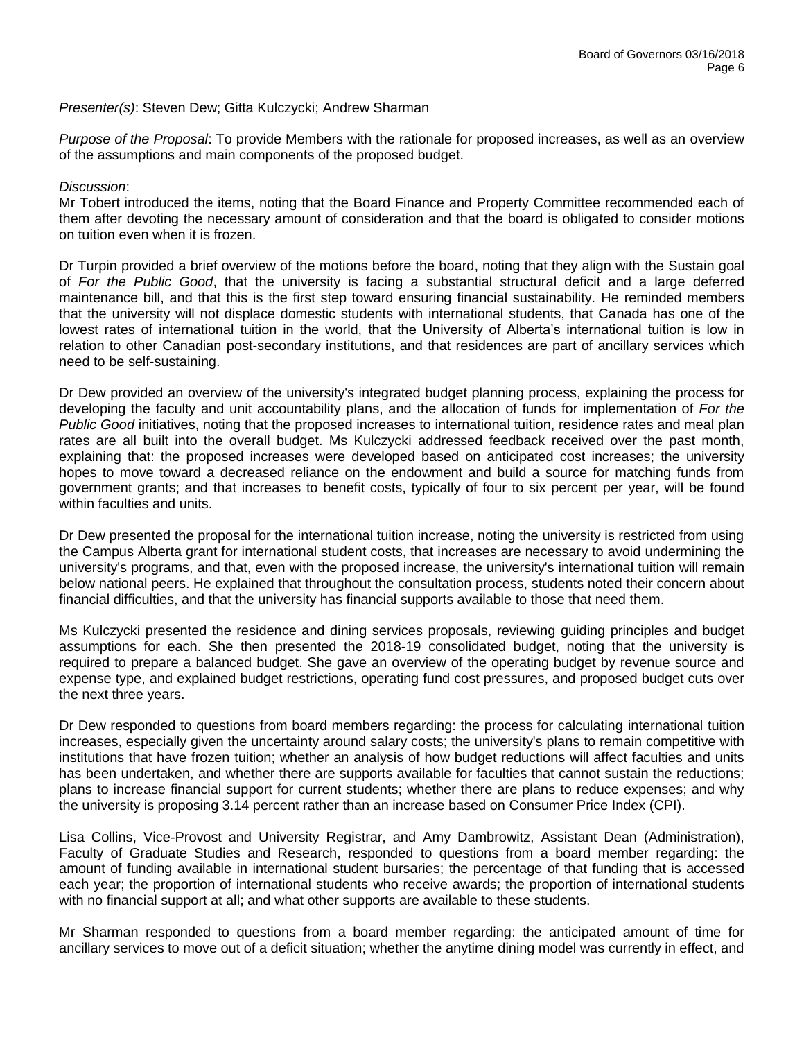#### *Presenter(s)*: Steven Dew; Gitta Kulczycki; Andrew Sharman

*Purpose of the Proposal*: To provide Members with the rationale for proposed increases, as well as an overview of the assumptions and main components of the proposed budget.

#### *Discussion*:

Mr Tobert introduced the items, noting that the Board Finance and Property Committee recommended each of them after devoting the necessary amount of consideration and that the board is obligated to consider motions on tuition even when it is frozen.

Dr Turpin provided a brief overview of the motions before the board, noting that they align with the Sustain goal of *For the Public Good*, that the university is facing a substantial structural deficit and a large deferred maintenance bill, and that this is the first step toward ensuring financial sustainability. He reminded members that the university will not displace domestic students with international students, that Canada has one of the lowest rates of international tuition in the world, that the University of Alberta's international tuition is low in relation to other Canadian post-secondary institutions, and that residences are part of ancillary services which need to be self-sustaining.

Dr Dew provided an overview of the university's integrated budget planning process, explaining the process for developing the faculty and unit accountability plans, and the allocation of funds for implementation of *For the Public Good* initiatives, noting that the proposed increases to international tuition, residence rates and meal plan rates are all built into the overall budget. Ms Kulczycki addressed feedback received over the past month, explaining that: the proposed increases were developed based on anticipated cost increases; the university hopes to move toward a decreased reliance on the endowment and build a source for matching funds from government grants; and that increases to benefit costs, typically of four to six percent per year, will be found within faculties and units.

Dr Dew presented the proposal for the international tuition increase, noting the university is restricted from using the Campus Alberta grant for international student costs, that increases are necessary to avoid undermining the university's programs, and that, even with the proposed increase, the university's international tuition will remain below national peers. He explained that throughout the consultation process, students noted their concern about financial difficulties, and that the university has financial supports available to those that need them.

Ms Kulczycki presented the residence and dining services proposals, reviewing guiding principles and budget assumptions for each. She then presented the 2018-19 consolidated budget, noting that the university is required to prepare a balanced budget. She gave an overview of the operating budget by revenue source and expense type, and explained budget restrictions, operating fund cost pressures, and proposed budget cuts over the next three years.

Dr Dew responded to questions from board members regarding: the process for calculating international tuition increases, especially given the uncertainty around salary costs; the university's plans to remain competitive with institutions that have frozen tuition; whether an analysis of how budget reductions will affect faculties and units has been undertaken, and whether there are supports available for faculties that cannot sustain the reductions; plans to increase financial support for current students; whether there are plans to reduce expenses; and why the university is proposing 3.14 percent rather than an increase based on Consumer Price Index (CPI).

Lisa Collins, Vice-Provost and University Registrar, and Amy Dambrowitz, Assistant Dean (Administration), Faculty of Graduate Studies and Research, responded to questions from a board member regarding: the amount of funding available in international student bursaries; the percentage of that funding that is accessed each year; the proportion of international students who receive awards; the proportion of international students with no financial support at all; and what other supports are available to these students.

Mr Sharman responded to questions from a board member regarding: the anticipated amount of time for ancillary services to move out of a deficit situation; whether the anytime dining model was currently in effect, and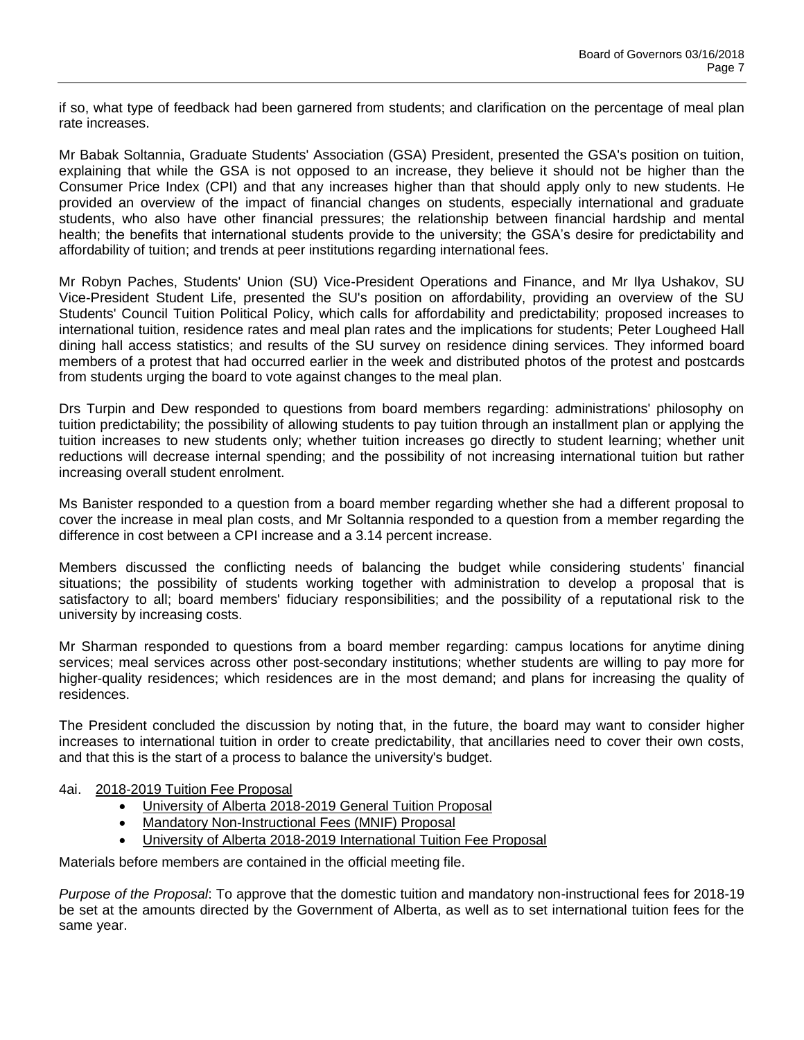if so, what type of feedback had been garnered from students; and clarification on the percentage of meal plan rate increases.

Mr Babak Soltannia, Graduate Students' Association (GSA) President, presented the GSA's position on tuition, explaining that while the GSA is not opposed to an increase, they believe it should not be higher than the Consumer Price Index (CPI) and that any increases higher than that should apply only to new students. He provided an overview of the impact of financial changes on students, especially international and graduate students, who also have other financial pressures; the relationship between financial hardship and mental health; the benefits that international students provide to the university; the GSA's desire for predictability and affordability of tuition; and trends at peer institutions regarding international fees.

Mr Robyn Paches, Students' Union (SU) Vice-President Operations and Finance, and Mr Ilya Ushakov, SU Vice-President Student Life, presented the SU's position on affordability, providing an overview of the SU Students' Council Tuition Political Policy, which calls for affordability and predictability; proposed increases to international tuition, residence rates and meal plan rates and the implications for students; Peter Lougheed Hall dining hall access statistics; and results of the SU survey on residence dining services. They informed board members of a protest that had occurred earlier in the week and distributed photos of the protest and postcards from students urging the board to vote against changes to the meal plan.

Drs Turpin and Dew responded to questions from board members regarding: administrations' philosophy on tuition predictability; the possibility of allowing students to pay tuition through an installment plan or applying the tuition increases to new students only; whether tuition increases go directly to student learning; whether unit reductions will decrease internal spending; and the possibility of not increasing international tuition but rather increasing overall student enrolment.

Ms Banister responded to a question from a board member regarding whether she had a different proposal to cover the increase in meal plan costs, and Mr Soltannia responded to a question from a member regarding the difference in cost between a CPI increase and a 3.14 percent increase.

Members discussed the conflicting needs of balancing the budget while considering students' financial situations; the possibility of students working together with administration to develop a proposal that is satisfactory to all; board members' fiduciary responsibilities; and the possibility of a reputational risk to the university by increasing costs.

Mr Sharman responded to questions from a board member regarding: campus locations for anytime dining services; meal services across other post-secondary institutions; whether students are willing to pay more for higher-quality residences; which residences are in the most demand; and plans for increasing the quality of residences.

The President concluded the discussion by noting that, in the future, the board may want to consider higher increases to international tuition in order to create predictability, that ancillaries need to cover their own costs, and that this is the start of a process to balance the university's budget.

#### 4ai. 2018-2019 Tuition Fee Proposal

- University of Alberta 2018-2019 General Tuition Proposal
- Mandatory Non-Instructional Fees (MNIF) Proposal
- University of Alberta 2018-2019 International Tuition Fee Proposal

Materials before members are contained in the official meeting file.

*Purpose of the Proposal*: To approve that the domestic tuition and mandatory non-instructional fees for 2018-19 be set at the amounts directed by the Government of Alberta, as well as to set international tuition fees for the same year.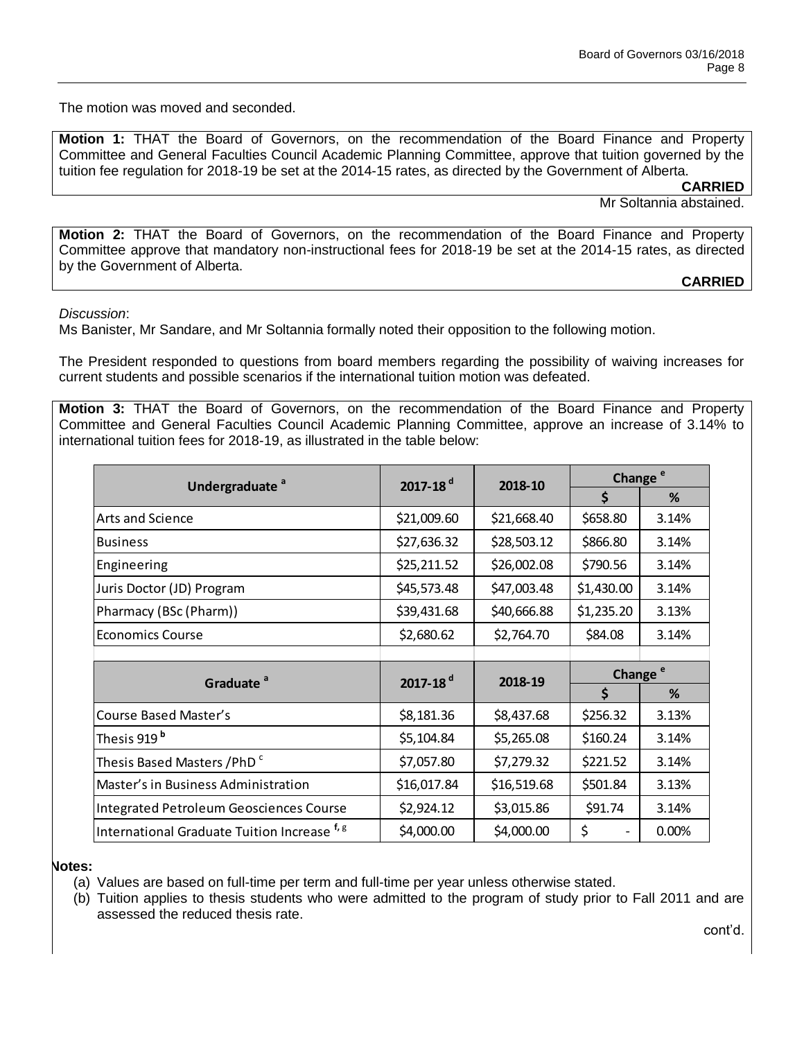The motion was moved and seconded.

**Motion 1:** THAT the Board of Governors, on the recommendation of the Board Finance and Property Committee and General Faculties Council Academic Planning Committee, approve that tuition governed by the tuition fee regulation for 2018-19 be set at the 2014-15 rates, as directed by the Government of Alberta.

**CARRIED**

Mr Soltannia abstained.

**Motion 2:** THAT the Board of Governors, on the recommendation of the Board Finance and Property Committee approve that mandatory non-instructional fees for 2018-19 be set at the 2014-15 rates, as directed by the Government of Alberta.

**CARRIED**

*Discussion*:

Ms Banister, Mr Sandare, and Mr Soltannia formally noted their opposition to the following motion.

The President responded to questions from board members regarding the possibility of waiving increases for current students and possible scenarios if the international tuition motion was defeated.

**Motion 3:** THAT the Board of Governors, on the recommendation of the Board Finance and Property Committee and General Faculties Council Academic Planning Committee, approve an increase of 3.14% to international tuition fees for 2018-19, as illustrated in the table below:

| Undergraduate <sup>a</sup>              | 2017-18 $d$ | 2018-10     | Change <sup>e</sup>  |       |
|-----------------------------------------|-------------|-------------|----------------------|-------|
|                                         |             |             | \$                   | %     |
| Arts and Science                        | \$21,009.60 | \$21,668.40 | \$658.80             | 3.14% |
| <b>Business</b>                         | \$27,636.32 | \$28,503.12 | \$866.80             | 3.14% |
| Engineering                             | \$25,211.52 | \$26,002.08 | \$790.56             | 3.14% |
| Juris Doctor (JD) Program               | \$45,573.48 | \$47,003.48 | \$1,430.00           | 3.14% |
| Pharmacy (BSc (Pharm))                  | \$39,431.68 | \$40,666.88 | \$1,235.20           | 3.13% |
| <b>Economics Course</b>                 | \$2,680.62  | \$2,764.70  | \$84.08              | 3.14% |
|                                         |             |             |                      |       |
| Graduate <sup>a</sup>                   | 2017-18 $d$ | 2018-19     | Change <sup>e</sup>  |       |
|                                         |             |             | $\boldsymbol{\zeta}$ | %     |
| Course Based Master's                   | \$8,181.36  | \$8,437.68  | \$256.32             | 3.13% |
| Thesis 919 <sup>b</sup>                 | \$5,104.84  | \$5,265.08  | \$160.24             | 3.14% |
| Thesis Based Masters /PhD <sup>c</sup>  | \$7,057.80  | \$7,279.32  | \$221.52             | 3.14% |
| Master's in Business Administration     | \$16,017.84 | \$16,519.68 | \$501.84             | 3.13% |
| Integrated Petroleum Geosciences Course | \$2,924.12  | \$3,015.86  | \$91.74              | 3.14% |
|                                         |             |             |                      |       |

**Notes:** 

(a) Values are based on full-time per term and full-time per year unless otherwise stated.

(b) Tuition applies to thesis students who were admitted to the program of study prior to Fall 2011 and are assessed the reduced thesis rate.

cont'd.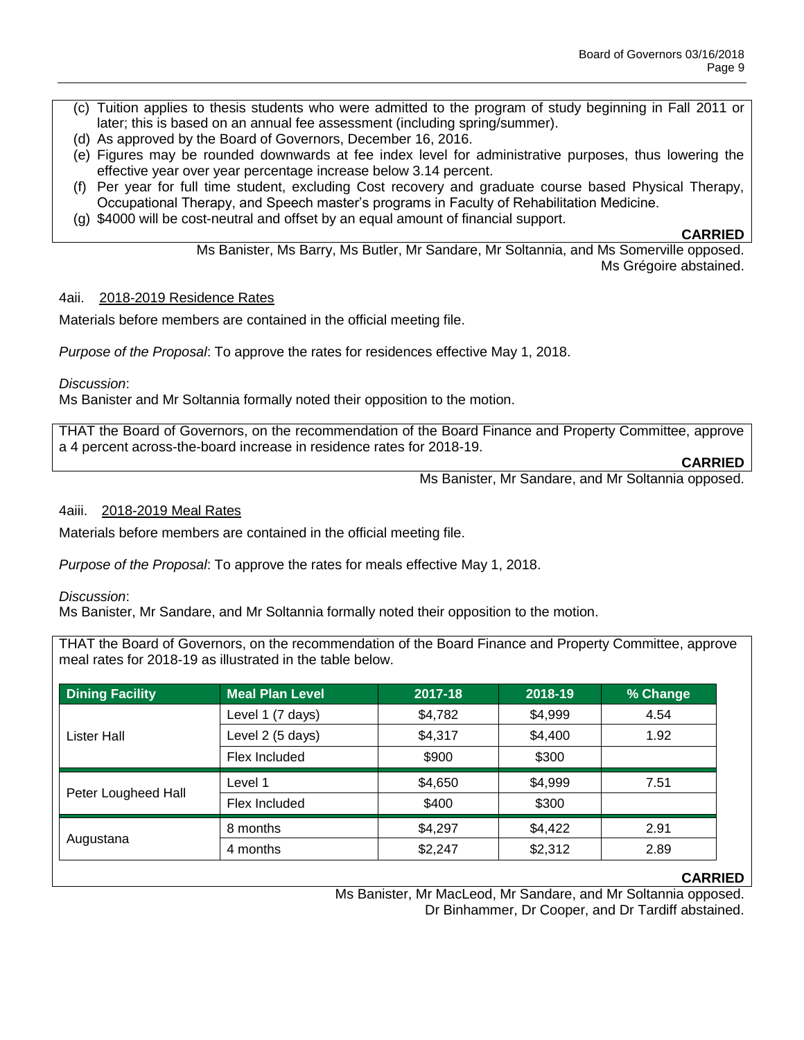- (c) Tuition applies to thesis students who were admitted to the program of study beginning in Fall 2011 or later; this is based on an annual fee assessment (including spring/summer).
- (d) As approved by the Board of Governors, December 16, 2016.
- (e) Figures may be rounded downwards at fee index level for administrative purposes, thus lowering the effective year over year percentage increase below 3.14 percent.
- (f) Per year for full time student, excluding Cost recovery and graduate course based Physical Therapy, Occupational Therapy, and Speech master's programs in Faculty of Rehabilitation Medicine.
- (g) \$4000 will be cost-neutral and offset by an equal amount of financial support.

**CARRIED**

Ms Banister, Ms Barry, Ms Butler, Mr Sandare, Mr Soltannia, and Ms Somerville opposed. Ms Grégoire abstained.

#### 4aii. 2018-2019 Residence Rates

Materials before members are contained in the official meeting file.

*Purpose of the Proposal*: To approve the rates for residences effective May 1, 2018.

*Discussion*:

Ms Banister and Mr Soltannia formally noted their opposition to the motion.

THAT the Board of Governors, on the recommendation of the Board Finance and Property Committee, approve a 4 percent across-the-board increase in residence rates for 2018-19.

**CARRIED**

Ms Banister, Mr Sandare, and Mr Soltannia opposed.

#### 4aiii. 2018-2019 Meal Rates

Materials before members are contained in the official meeting file.

*Purpose of the Proposal*: To approve the rates for meals effective May 1, 2018.

#### *Discussion*:

Ms Banister, Mr Sandare, and Mr Soltannia formally noted their opposition to the motion.

THAT the Board of Governors, on the recommendation of the Board Finance and Property Committee, approve meal rates for 2018-19 as illustrated in the table below.

| <b>Dining Facility</b> | <b>Meal Plan Level</b> | 2017-18 | 2018-19 | % Change |
|------------------------|------------------------|---------|---------|----------|
| Lister Hall            | Level 1 (7 days)       | \$4,782 | \$4,999 | 4.54     |
|                        | Level 2 (5 days)       | \$4,317 | \$4,400 | 1.92     |
|                        | Flex Included          | \$900   | \$300   |          |
| Peter Lougheed Hall    | Level 1                | \$4,650 | \$4,999 | 7.51     |
|                        | Flex Included          | \$400   | \$300   |          |
| Augustana              | 8 months               | \$4,297 | \$4,422 | 2.91     |
|                        | 4 months               | \$2,247 | \$2,312 | 2.89     |

#### **CARRIED**

Ms Banister, Mr MacLeod, Mr Sandare, and Mr Soltannia opposed. Dr Binhammer, Dr Cooper, and Dr Tardiff abstained.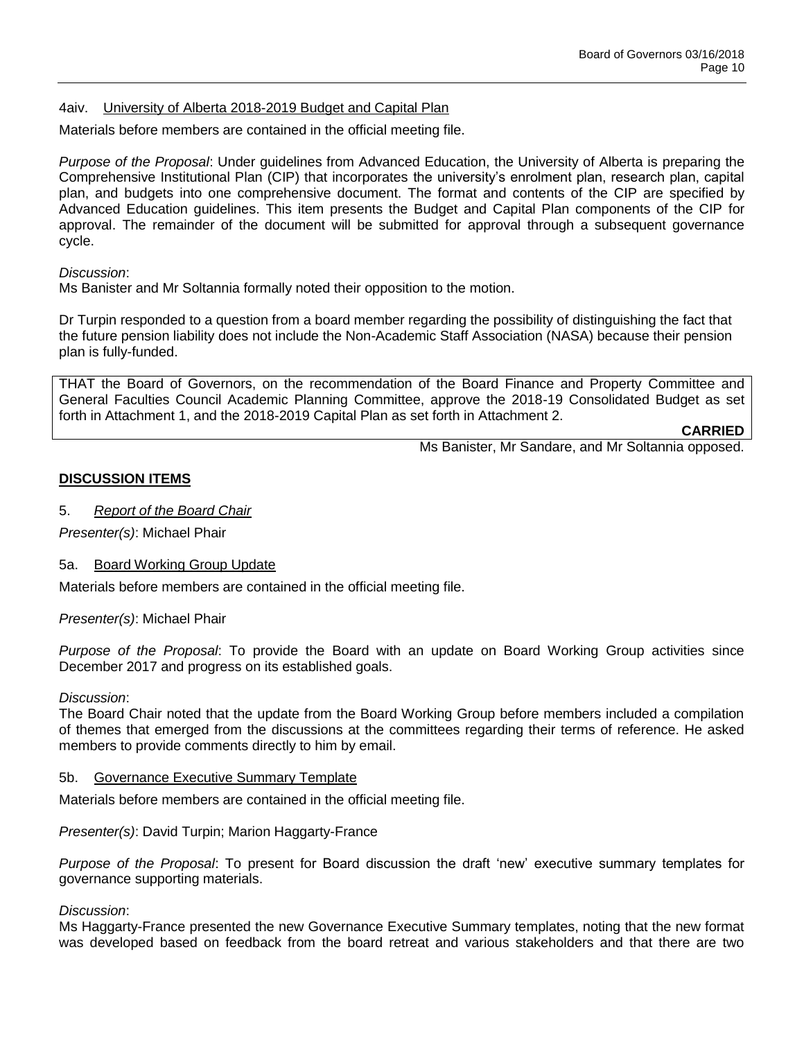#### 4aiv. University of Alberta 2018-2019 Budget and Capital Plan

Materials before members are contained in the official meeting file.

*Purpose of the Proposal*: Under guidelines from Advanced Education, the University of Alberta is preparing the Comprehensive Institutional Plan (CIP) that incorporates the university's enrolment plan, research plan, capital plan, and budgets into one comprehensive document. The format and contents of the CIP are specified by Advanced Education guidelines. This item presents the Budget and Capital Plan components of the CIP for approval. The remainder of the document will be submitted for approval through a subsequent governance cycle.

*Discussion*:

Ms Banister and Mr Soltannia formally noted their opposition to the motion.

Dr Turpin responded to a question from a board member regarding the possibility of distinguishing the fact that the future pension liability does not include the Non-Academic Staff Association (NASA) because their pension plan is fully-funded.

THAT the Board of Governors, on the recommendation of the Board Finance and Property Committee and General Faculties Council Academic Planning Committee, approve the 2018-19 Consolidated Budget as set forth in Attachment 1, and the 2018-2019 Capital Plan as set forth in Attachment 2.

**CARRIED**

Ms Banister, Mr Sandare, and Mr Soltannia opposed.

#### **DISCUSSION ITEMS**

#### 5. *Report of the Board Chair*

*Presenter(s)*: Michael Phair

#### 5a. Board Working Group Update

Materials before members are contained in the official meeting file.

*Presenter(s)*: Michael Phair

*Purpose of the Proposal*: To provide the Board with an update on Board Working Group activities since December 2017 and progress on its established goals.

*Discussion*:

The Board Chair noted that the update from the Board Working Group before members included a compilation of themes that emerged from the discussions at the committees regarding their terms of reference. He asked members to provide comments directly to him by email.

#### 5b. Governance Executive Summary Template

Materials before members are contained in the official meeting file.

*Presenter(s)*: David Turpin; Marion Haggarty-France

*Purpose of the Proposal*: To present for Board discussion the draft 'new' executive summary templates for governance supporting materials.

*Discussion*:

Ms Haggarty-France presented the new Governance Executive Summary templates, noting that the new format was developed based on feedback from the board retreat and various stakeholders and that there are two